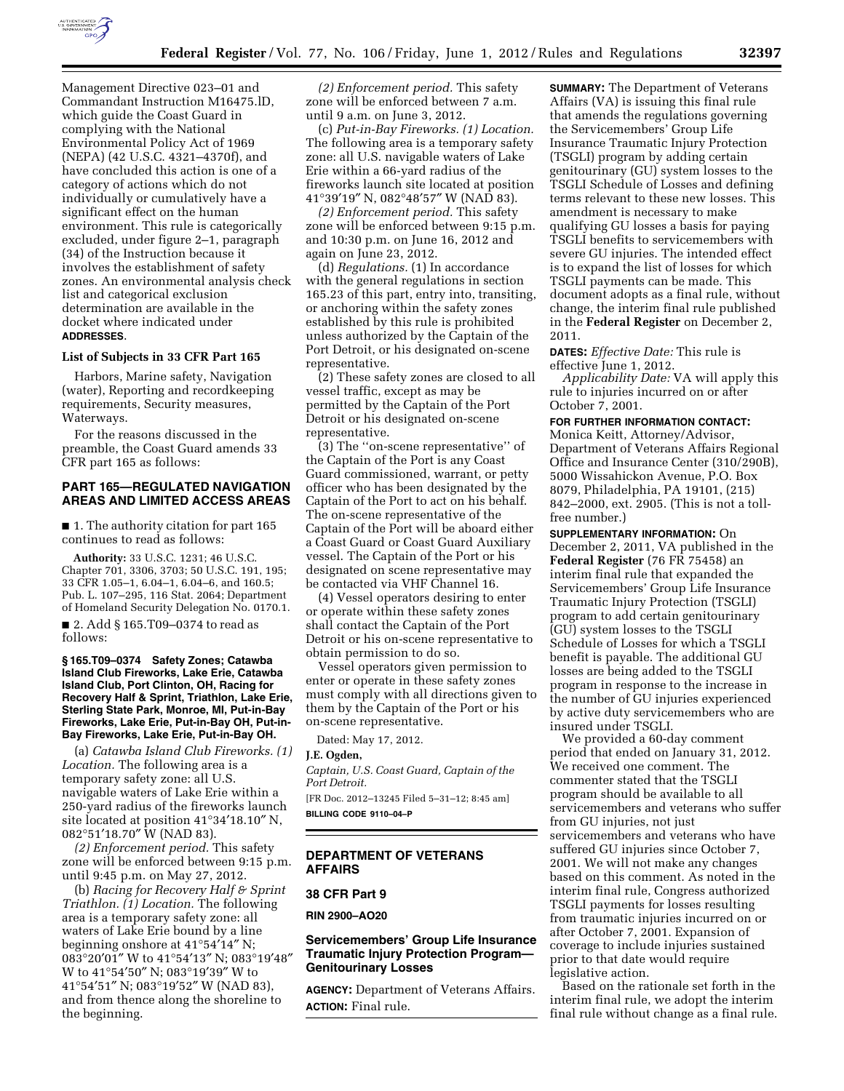

Management Directive 023–01 and Commandant Instruction M16475.lD, which guide the Coast Guard in complying with the National Environmental Policy Act of 1969 (NEPA) (42 U.S.C. 4321–4370f), and have concluded this action is one of a category of actions which do not individually or cumulatively have a significant effect on the human environment. This rule is categorically excluded, under figure 2–1, paragraph (34) of the Instruction because it involves the establishment of safety zones. An environmental analysis check list and categorical exclusion determination are available in the docket where indicated under **ADDRESSES**.

#### **List of Subjects in 33 CFR Part 165**

Harbors, Marine safety, Navigation (water), Reporting and recordkeeping requirements, Security measures, Waterways.

For the reasons discussed in the preamble, the Coast Guard amends 33 CFR part 165 as follows:

# **PART 165—REGULATED NAVIGATION AREAS AND LIMITED ACCESS AREAS**

■ 1. The authority citation for part 165 continues to read as follows:

**Authority:** 33 U.S.C. 1231; 46 U.S.C. Chapter 701, 3306, 3703; 50 U.S.C. 191, 195; 33 CFR 1.05–1, 6.04–1, 6.04–6, and 160.5; Pub. L. 107–295, 116 Stat. 2064; Department of Homeland Security Delegation No. 0170.1.

■ 2. Add § 165.T09-0374 to read as follows:

**§ 165.T09–0374 Safety Zones; Catawba Island Club Fireworks, Lake Erie, Catawba Island Club, Port Clinton, OH, Racing for Recovery Half & Sprint, Triathlon, Lake Erie, Sterling State Park, Monroe, MI, Put-in-Bay Fireworks, Lake Erie, Put-in-Bay OH, Put-in-Bay Fireworks, Lake Erie, Put-in-Bay OH.** 

(a) *Catawba Island Club Fireworks. (1) Location.* The following area is a temporary safety zone: all U.S. navigable waters of Lake Erie within a 250-yard radius of the fireworks launch site located at position 41°34′18.10″ N, 082°51′18.70″ W (NAD 83).

*(2) Enforcement period.* This safety zone will be enforced between 9:15 p.m. until 9:45 p.m. on May 27, 2012.

(b) *Racing for Recovery Half & Sprint Triathlon. (1) Location.* The following area is a temporary safety zone: all waters of Lake Erie bound by a line beginning onshore at 41°54′14″ N; 083°20′01″ W to 41°54′13″ N; 083°19′48″ W to 41°54′50″ N; 083°19′39″ W to 41°54′51″ N; 083°19′52″ W (NAD 83), and from thence along the shoreline to the beginning.

*(2) Enforcement period.* This safety zone will be enforced between 7 a.m. until 9 a.m. on June 3, 2012.

(c) *Put-in-Bay Fireworks. (1) Location.*  The following area is a temporary safety zone: all U.S. navigable waters of Lake Erie within a 66-yard radius of the fireworks launch site located at position 41°39′19″ N, 082°48′57″ W (NAD 83).

*(2) Enforcement period.* This safety zone will be enforced between 9:15 p.m. and 10:30 p.m. on June 16, 2012 and again on June 23, 2012.

(d) *Regulations.* (1) In accordance with the general regulations in section 165.23 of this part, entry into, transiting, or anchoring within the safety zones established by this rule is prohibited unless authorized by the Captain of the Port Detroit, or his designated on-scene representative.

(2) These safety zones are closed to all vessel traffic, except as may be permitted by the Captain of the Port Detroit or his designated on-scene representative.

(3) The ''on-scene representative'' of the Captain of the Port is any Coast Guard commissioned, warrant, or petty officer who has been designated by the Captain of the Port to act on his behalf. The on-scene representative of the Captain of the Port will be aboard either a Coast Guard or Coast Guard Auxiliary vessel. The Captain of the Port or his designated on scene representative may be contacted via VHF Channel 16.

(4) Vessel operators desiring to enter or operate within these safety zones shall contact the Captain of the Port Detroit or his on-scene representative to obtain permission to do so.

Vessel operators given permission to enter or operate in these safety zones must comply with all directions given to them by the Captain of the Port or his on-scene representative.

Dated: May 17, 2012.

#### **J.E. Ogden,**

*Captain, U.S. Coast Guard, Captain of the Port Detroit.* 

[FR Doc. 2012–13245 Filed 5–31–12; 8:45 am] **BILLING CODE 9110–04–P** 

## **DEPARTMENT OF VETERANS AFFAIRS**

# **38 CFR Part 9**

**RIN 2900–AO20** 

## **Servicemembers' Group Life Insurance Traumatic Injury Protection Program— Genitourinary Losses**

**AGENCY:** Department of Veterans Affairs. **ACTION:** Final rule.

**SUMMARY:** The Department of Veterans Affairs (VA) is issuing this final rule that amends the regulations governing the Servicemembers' Group Life Insurance Traumatic Injury Protection (TSGLI) program by adding certain genitourinary (GU) system losses to the TSGLI Schedule of Losses and defining terms relevant to these new losses. This amendment is necessary to make qualifying GU losses a basis for paying TSGLI benefits to servicemembers with severe GU injuries. The intended effect is to expand the list of losses for which TSGLI payments can be made. This document adopts as a final rule, without change, the interim final rule published in the **Federal Register** on December 2, 2011.

**DATES:** *Effective Date:* This rule is effective June 1, 2012.

*Applicability Date:* VA will apply this rule to injuries incurred on or after October 7, 2001.

#### **FOR FURTHER INFORMATION CONTACT:**

Monica Keitt, Attorney/Advisor, Department of Veterans Affairs Regional Office and Insurance Center (310/290B), 5000 Wissahickon Avenue, P.O. Box 8079, Philadelphia, PA 19101, (215) 842–2000, ext. 2905. (This is not a tollfree number.)

**SUPPLEMENTARY INFORMATION:** On December 2, 2011, VA published in the **Federal Register** (76 FR 75458) an interim final rule that expanded the Servicemembers' Group Life Insurance Traumatic Injury Protection (TSGLI) program to add certain genitourinary (GU) system losses to the TSGLI Schedule of Losses for which a TSGLI benefit is payable. The additional GU losses are being added to the TSGLI program in response to the increase in the number of GU injuries experienced by active duty servicemembers who are insured under TSGLI.

We provided a 60-day comment period that ended on January 31, 2012. We received one comment. The commenter stated that the TSGLI program should be available to all servicemembers and veterans who suffer from GU injuries, not just servicemembers and veterans who have suffered GU injuries since October 7, 2001. We will not make any changes based on this comment. As noted in the interim final rule, Congress authorized TSGLI payments for losses resulting from traumatic injuries incurred on or after October 7, 2001. Expansion of coverage to include injuries sustained prior to that date would require legislative action.

Based on the rationale set forth in the interim final rule, we adopt the interim final rule without change as a final rule.